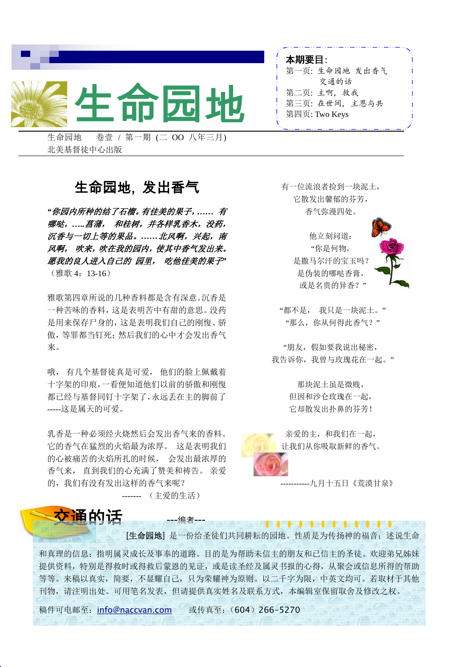

生命园地 卷壹 / 第一期 (二 OO 八年三月) 北美基督徒中心出版

### 生命园地, 发出香气

*"*你园内所种的结了石榴。有佳美的果子,*……* 有 哪哒,*…..*菖蒲, 和桂树,并各样乳香木,没药, 沉香与一切上等的果品。*……*北风啊,兴起,南 风啊, 吹来,吹在我的园内,使其中香气发出来。 愿我的良人进入自己的 园里, 吃他佳美的果子*"*  (雅歌 4:13-16)

雅歌第四章所说的几种香料都是含有深意。沉香是 一种苦味的香料,这是表明苦中有甜的意思。没药 是用来保存尸身的,这是表明我们自己的刚愎、骄 傲,等罪都当钉死;然后我们的心中才会发出香气 来。

哦, 有几个基督徒真是可爱, 他们的脸上佩戴着 十字架的印痕,一看便知道他们以前的骄傲和刚愎 都已经与基督同钉十字架了,永远丢在主的脚前了 -----这是属天的可爱。

乳香是一种必须经火烧然后会发出香气来的香料。 它的香气在猛烈的火焰最为浓厚。 这是表明我们 的心被痛苦的火焰所扎的时候, 会发出最浓厚的 香气来, 直到我们的心充满了赞美和祷告。 亲爱 的,我们有没有发出这样的香气来呢?

------- (主爱的生活)

### 有一位流浪者捡到一块泥土, 它散发出馨郁的芬芳, 香气弥漫四处。

本期要目:

第一页: 生命园地 发出香气 交通的话

第三页: 在世间, 主恩与共

第二页: 主啊, 救我

第四页: Two Keys

他立刻问道: "你是何物, 是撒马尔汗的宝玉吗? 是伪装的哪哒香膏, 或是名贵的异香?"



"都不是, 我只是一块泥土。" "那么,你从何得此香气?"

"朋友,假如要我说出秘密, 我告诉你,我曾与玫瑰花在一起。"

> 那块泥土虽是微贱, 但因和沙仑玫瑰在一起, 它却散发出扑鼻的芬芳!



亲爱的主,和我们在一起, 让我们从你吸取新鲜的香气。

-----------九月十五日《荒漠甘泉》

<mark>交诵</mark>的话 ---编者---[生命园地] 是一份给圣徒们共同耕耘的园地。性质是为传扬神的福音; 述说生命

和真理的信息;指明属灵成长及事奉的道路。目的是为帮助未信主的朋友和已信主的圣徒。欢迎弟兄姊妹 提供资料,特别是得救时或得救后蒙恩的见证,或是读圣经及属灵书报的心得,从聚会或信息所得的帮助 等等。来稿以真实,简要,不显耀自己,只为荣耀神为原则。以二千字为限,中英文均可。若取材于其他 刊物,请注明出处。可用笔名发表,但请提供真实姓名及联系方式,本编辑室保留取舍及修改之权。

稿件可电邮至: info@naccvan.com 或传真至: (604) 266-5270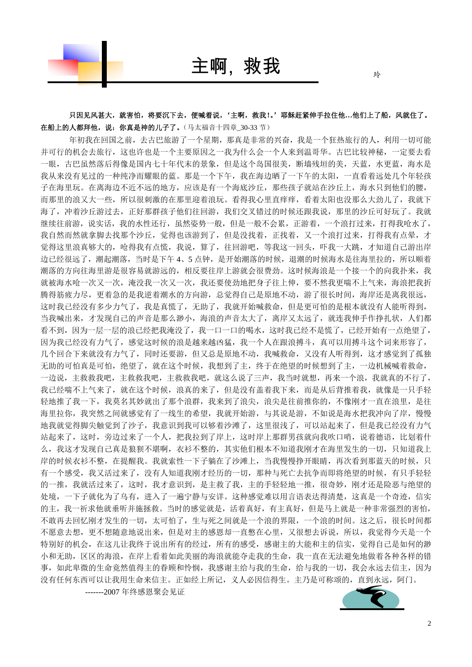

主啊, 救我

玲

只因见风甚大,就害怕,将要沉下去,便喊着说,'主啊,救我!。'耶稣赶紧伸手拉住他…他们上了船,风就住了。 在船上的人都拜他,说:你真是神的儿子了。(马太福音十四章\_30-33 节)

年初我在回国之前,去古巴旅游了一个星期,那真是非常的兴奋,我是一个狂热旅行的人,利用一切可能 并可行的机会去旅行,这也许也是一个主要原因之一我为什么会一个人来到温哥华。古巴比较神秘,一定要去看 一眼,古巴虽然落后得像是国内七十年代末的景象,但是这个岛国很美,断墙残垣的美,天蓝,水更蓝,海水是 我从来没有见过的一种纯净而耀眼的蓝。那是一个下午,我在海边晒了一下午的太阳,一直看着远处几个年轻孩 子在海里玩。在离海边不近不远的地方,应该是有一个海底沙丘,那些孩子就站在沙丘上,海水只到他们的腰, 而那里的浪又大一些,所以很刺激的在那里迎着浪玩。看得我心里直痒痒,看着太阳也没那么大劲儿了,我就下 海了,冲着沙丘游过去,正好那群孩子他们往回游,我们交叉错过的时候还跟我说,那里的沙丘可好玩了。我就 继续往前游,说实话,我的水性还行,虽然姿势一般,但是一般不会累,正游着,一个浪打过来,打得我呛水了, 我自然而然就拿脚去找那个沙丘,觉得也该游到了,但是没找着,正找着,又一个浪打过来,打得我有点晕,才 觉得这里浪真够大的,呛得我有点慌,我说,算了,往回游吧,等我这一回头,吓我一大跳,才知道自己游出岸 边已经很远了,潮起潮落,当时是下午 4、5 点钟,是开始潮落的时候,退潮的时候海水是往海里拉的,所以顺着 潮落的方向往海里游是很容易就游远的,相反要往岸上游就会很费劲。这时候海浪是一个接一个的向我扑来,我 就被海水呛一次又一次,淹没我一次又一次,我还要使劲地把身子往上伸,要不然我更喘不上气来,海浪把我折 腾得筋疲力尽,更着急的是我逆着潮水的方向游,总觉得自己是原地不动,游了很长时间,海岸还是离我很远, 这时我已经没有多少力气了,我是真慌了,无助了,我就开始喊救命,但是更可怕的是根本就没有人能听得到, 当我喊出来,才发现自己的声音是那么渺小,海浪的声音太大了,离岸又太远了,就连我伸手作挣扎状,人们都 看不到,因为一层一层的浪已经把我淹没了,我一口一口的喝水,这时我已经不是慌了,已经开始有一点绝望了, 因为我已经没有力气了,感觉这时候的浪是越来越凶猛,我一个人在跟浪搏斗,真可以用搏斗这个词来形容了, 几个回合下来就没有力气了,同时还要游,但又总是原地不动,我喊救命,又没有人听得到,这才感觉到了孤独 无助的可怕真是可怕,绝望了,就在这个时候,我想到了主,终于在绝望的时候想到了主,一边机械喊着救命, 一边说,主救救我吧,主救救我吧,主救救我吧,就这么说了三声,我当时就想,再来一个浪,我就真的不行了, 我已经喘不上气来了,就在这个时候,浪真的来了,但是没有盖着我下来,而是从后背推着我,就像是一只手轻 轻地推了我一下,我莫名其妙就出了那个浪群,我来到了浪尖,浪尖是往前推你的,不像刚才一直在浪里,是往 海里拉你,我突然之间就感觉有了一线生的希望,我就开始游,与其说是游,不如说是海水把我冲向了岸,慢慢 地我就觉得脚尖触觉到了沙子,我意识到我可以够着沙滩了,这里很浅了,可以站起来了,但是我已经没有力气 站起来了,这时,旁边过来了一个人,把我拉到了岸上,这时岸上那群男孩就向我吹口哨,说着德语,比划着什 么,我这才发现自己真是狼狈不堪啊,衣衫不整的,其实他们根本不知道我刚才在海里发生的一切,只知道我上 岸的时候衣衫不整,在提醒我。我就索性一下子躺在了沙滩上,当我慢慢挣开眼睛,再次看到那蓝天的时候,只 有一个感受,我又活过来了,没有人知道我刚才经历的一切,那种与死亡去抗争而即将绝望的时候,有只手轻轻 的一推,我就活过来了,这时,我才意识到,是主救了我,主的手轻轻地一推,很奇妙,刚才还是险恶与绝望的 处境,一下子就化为了乌有,进入了一遍宁静与安详。这种感觉难以用言语表达得清楚,这真是一个奇迹,信实 的主,我一祈求他就垂听并施拯救。当时的感觉就是,活着真好,有主真好,但是马上就是一种非常强烈的害怕, 不敢再去回忆刚才发生的一切,太可怕了,生与死之间就是一个浪的界限,一个浪的时间。这之后,很长时间都 不愿意去想,更不想随意地说出来,但是对主的感恩却一直憋在心里,又很想去诉说,所以,我觉得今天是一个 特别好的机会,在这儿让我终于说出所有的经过,所有的感受,感谢主的大能和主的信实,觉得自己是如何的渺 小和无助,区区的海浪,在岸上看着如此美丽的海浪就能夺走我的生命,我一直在无法避免地做着各种各样的错 事,如此卑微的生命竟然值得主的眷顾和怜悯,我感谢主给与我的生命,给与我的一切,我会永远去信主,因为 没有任何东西可以让我用生命来信主。正如经上所记,义人必因信得生。主乃是可称颂的,直到永远,阿门。 -------2007 年终感恩聚会见证

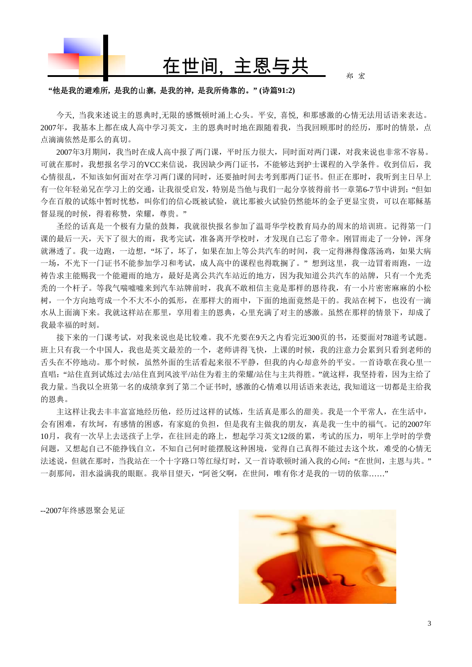

# 在世间, 主恩与共

郑 宏

#### **"**他是我的避难所**,** 是我的山寨**,** 是我的神**,** 是我所倚靠的。**" (**诗篇**91:2)**

 今天, 当我来述说主的恩典时,无限的感慨顿时涌上心头。平安, 喜悦, 和那感激的心情无法用话语来表达。 2007年,我基本上都在成人高中学习英文,主的恩典时时地在跟随着我,当我回顾那时的经历,那时的情景,点 点滴滴依然是那么的真切。

2007年3月期间,我当时在成人高中报了两门课,平时压力很大,同时面对两门课,对我来说也非常不容易。 可就在那时,我想报名学习的VCC来信说,我因缺少两门证书,不能够达到护士课程的入学条件。收到信后,我 心情很乱,不知该如何面对在学习两门课的同时,还要抽时间去考到那两门证书。但正在那时,我听到主日早上 有一位年轻弟兄在学习上的交通,让我很受启发,特别是当他与我们一起分享彼得前书一章第6-7节中讲到:"但如 今在百般的试炼中暂时忧愁,叫你们的信心既被试验,就比那被火试验仍然能坏的金子更显宝贵,可以在耶稣基 督显现的时候,得着称赞,荣耀,尊贵。"

 圣经的话真是一个极有力量的鼓舞,我就很快报名参加了温哥华学校教育局办的周末的培训班。记得第一门 课的最后一天,天下了很大的雨,我考完试,准备离开学校时,才发现自己忘了带伞。刚冒雨走了一分钟,浑身 就淋透了。我一边跑,一边想,"坏了,坏了,如果在加上等公共汽车的时间,我一定得淋得像落汤鸡,如果大病 一场,不光下一门证书不能参加学习和考试,成人高中的课程也得耽搁了。"想到这里,我一边冒着雨跑,一边 祷告求主能赐我一个能避雨的地方,最好是离公共汽车站近的地方,因为我知道公共汽车的站牌,只有一个光秃 秃的一个杆子。等我气喘嘘嘘来到汽车站牌前时,我真不敢相信主竟是那样的恩待我,有一小片密密麻麻的小松 树,一个方向地弯成一个不大不小的弧形,在那样大的雨中,下面的地面竟然是干的。我站在树下,也没有一滴 水从上面滴下来。我就这样站在那里,享用着主的恩典,心里充满了对主的感激。虽然在那样的情景下,却成了 我最幸福的时刻。

接下来的一门课考试,对我来说也是比较难。我不光要在9天之内看完近300页的书,还要面对78道考试题。 班上只有我一个中国人,我也是英文最差的一个,老师讲得飞快,上课的时候,我的注意力会累到只看到老师的 舌头在不停地动。那个时候,虽然外面的生活看起来很不平静,但我的内心却意外的平安。一首诗歌在我心里一 直唱: "站住直到试炼过去/站住直到风波平/站住为着主的荣耀/站住与主共得胜。"就这样,我坚持着,因为主给了 我力量。当我以全班第一名的成绩拿到了第二个证书时, 感激的心情难以用话语来表达, 我知道这一切都是主给我 的恩典。

主这样让我去丰丰富富地经历他,经历过这样的试炼,生活真是那么的甜美。我是一个平常人,在生活中, 会有困难,有坎坷,有感情的困惑,有家庭的负担,但是我有主做我的朋友,真是我一生中的福气。记的2007年 10月,我有一次早上去送孩子上学,在往回走的路上,想起学习英文12级的累,考试的压力,明年上学时的学费 问题,又想起自己不能挣钱自立,不知自己何时能摆脱这种困境,觉得自己真得不能过去这个坎,难受的心情无 法述说,但就在那时,当我站在一个十字路口等红绿灯时,又一首诗歌顿时涌入我的心间:"在世间,主恩与共。" 一刹那间,泪水溢满我的眼眶。我举目望天,"阿爸父啊,在世间,唯有你才是我的一切的依靠……"

--2007年终感恩聚会见证